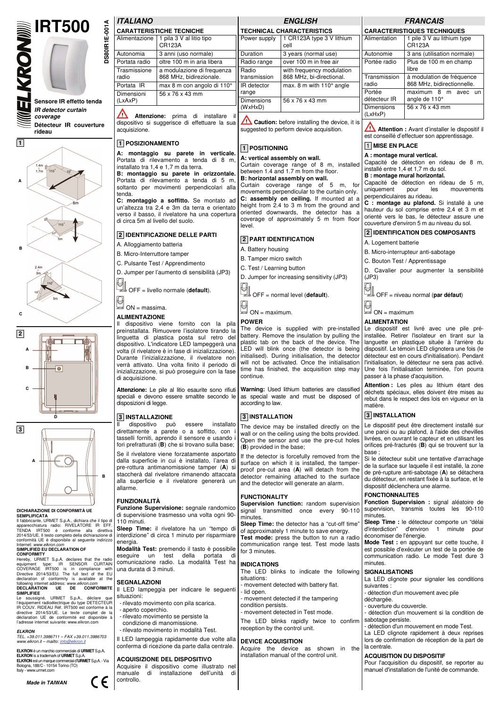



 $\overline{10}^{\circ}$ 





## **DICHIARAZIONE DI CONFORMITÀ UE**

**SEMPLIFICATA**<br>Il fabbricante, URMET S.p.A., dichiara che il tipo di Il fabbricante, URMET S.p.A., dichiara che il tipo di<br>apparecchiatura radio: RIVELATORE IR EFF.<br>TENDA IRT500 è conforme alla direttiva<br>2014/53/UE. Il testo completo della dichiarazione di<br>conformità UE è disponibile al seg

**SIMPLIFIED EU DECLARATION OF**<br>**CONFORMITY**<br>**CONFORMITY** type: IR Sex Collections that the radio<br>COVERAGE IRTS00 is in compliance with<br>Directive 2014/SS/EU. The full text of the EU<br>Directive 2014/SS/EU. The full text of th following internet address: *www.elkron.com*  **DECLARATION UE DE CONFORMITE SIMPLIFIEE** 

#### SIMPLIFIEE<br>Le soussigné, URMET S.p.A., déclare l'équipement radioélectrique du type DETECTEUR IR COUV. RIDEAU Réf. IRT500 est conforme à la directive 2014/53/UE. Le texte complet de la déclaration UE de conformité est disponible à l'adresse internet suivante: www.elkron.com

**3** 

**C** 

**ELKRON**  *TEL. +39.011.3986711 – FAX +39.011.3986703 www.elkron.it – mailto: info@elkron.it*

**ELKRON** è un marchio commerciale di **URMET** S.p.A.<br>**ELKRON** is a trademark of **URMET** S.p.A.<br>**ELKRON** est un marque commercial G'**URMET** S.p.A. - Via<br>Bologna, 188/C - 10154 Torino (TO) w.urmet.com

**Made in TAIWAN** 



## **ITALIANO DS80IR1E-001A**

DS80IR1E-001A

| <i><b>IIALIANO</b></i>          |                                                       |  |  |  |  |  |  |  |
|---------------------------------|-------------------------------------------------------|--|--|--|--|--|--|--|
| <b>CARATTERISTICHE TECNICHE</b> |                                                       |  |  |  |  |  |  |  |
| Alimentazione                   | 1 pila 3 V al litio tipo<br><b>CR123A</b>             |  |  |  |  |  |  |  |
| Autonomia                       | 3 anni (uso normale)                                  |  |  |  |  |  |  |  |
| Portata radio                   | oltre 100 m in aria libera                            |  |  |  |  |  |  |  |
| Trasmissione<br>radio           | a modulazione di frequenza<br>868 MHz, bidirezionale. |  |  |  |  |  |  |  |
| Portata IR                      | max 8 m con angolo di 110°                            |  |  |  |  |  |  |  |
| Dimensioni<br>(LxAxP)           | 56 x 76 x 43 mm                                       |  |  |  |  |  |  |  |
| Attenzione:                     | prima di installare                                   |  |  |  |  |  |  |  |

dispositivo si suggerisce di effettuare la sua acquisizione.

## **1 POSIZIONAMENTO**

**A: montaggio su parete in verticale.**  Portata di rilevamento a tenda di 8 m, installato tra 1,4 e 1,7 m da terra.

**B: montaggio su parete in orizzontale.**  Portata di rilevamento a tenda di 5 m, soltanto per movimenti perpendicolari alla tenda.

**C: montaggio a soffitto.** Se montato ad un'altezza tra 2,4 e 3m da terra e orientato verso il basso, il rivelatore ha una copertura di circa 5m al livello del suolo.

#### **2 IDENTIFICAZIONE DELLE PARTI**

A. Alloggiamento batteria

B. Micro-Interruttore tamper

C. Pulsante Test / Apprendimento

D. Jumper per l'aumento di sensibilità (JP3) ₽

OFF = livello normale (**default**).

 $\Box$  $\rightarrow$  ON = massima.

## **ALIMENTAZIONE**

Il dispositivo viene fornito con la pila preinstallata. Rimuovere l'isolatore tirando la linguetta di plastica posta sul retro del dispositivo. L'indicatore LED lampeggerà una volta (il rivelatore è in fase di inizializzazione). Durante l'inizializzazione, il rivelatore non verrà attivato. Una volta finito il periodo di inizializzazione, si può proseguire con la fase di acquisizione.

**Attenzione:** Le pile al litio esaurite sono rifiuti speciali e devono essere smaltite secondo le disposizioni di legge.

#### **3 INSTALLAZIONE**

dispositivo può essere installato direttamente a parete o a soffitto, con tasselli forniti, aprendo il sensore e usando fori prefratturati (**B**) che si trovano sulla base;

Se il rivelatore viene forzatamente asportato dalla superficie in cui è installato, l'area di pre-rottura antimanomissione tamper (**A**) si staccherà dal rivelatore rimanendo attaccata alla superficie e il rivelatore genererà un allarme.

#### **FUNZIONALITÀ**

**Funzione Supervisione:** segnale randomico di supervisione trasmesso una volta ogni 90- 110 minuti.

**Sleep Time:** il rivelatore ha un "tempo di interdizione" di circa 1 minuto per risparmiare energia

**Modalità Test:** premendo il tasto è possibile eseguire un test della portata di comunicazione radio. La modalità Test ha una durata di 3 minuti.

#### **SEGNALAZIONI**

Il LED lampeggia per indicare le seguenti situazioni:

- rilevato movimento con pila scarica.
- aperto coperchio.
- rilevato movimento se persiste la
- condizione di manomissione.
- rilevato movimento in modalità Test.

Il LED lampeggia rapidamente due volte alla conferma di ricezione da parte dalla centrale.

#### **ACQUISIZIONE DEL DISPOSITIVO**

Acquisire il dispositivo come illustrato nel manuale di installazione dell'unità controllo.

**ENGLISH** 

| <b>TECHNICAL CHARACTERISTICS</b> |                                                       |  |  |  |  |  |
|----------------------------------|-------------------------------------------------------|--|--|--|--|--|
| Power supply                     | 1 CR123A type 3 V lithium<br>cell                     |  |  |  |  |  |
| Duration                         | 3 years (normal use)                                  |  |  |  |  |  |
| Radio range                      | over 100 m in free air                                |  |  |  |  |  |
| Radio<br>transmission            | with frequency modulation<br>868 MHz, bi-directional. |  |  |  |  |  |
| IR detector<br>range             | max. 8 m with 110° angle                              |  |  |  |  |  |
| <b>Dimensions</b><br>(WxHxD)     | 56 x 76 x 43 mm                                       |  |  |  |  |  |

**Caution:** before installing the device, it is suggested to perform device acquisition.

#### **1 POSITIONING**

**A: vertical assembly on wall.** 

Curtain coverage range of 8 m, installed between 1.4 and 1.7 m from the floor. **B: horizontal assembly on wall.** 

Curtain coverage range of 5 m, for movements perpendicular to the curtain only. **C: assembly on ceiling.** If mounted at a height from 2.4 to 3 m from the ground and oriented downwards, the detector has a coverage of approximately 5 m from floor level.

#### **2 PART IDENTIFICATION**

A. Battery housing

B. Tamper micro switch

C. Test / Learning button

D. Jumper for increasing sensitivity (JP3) g,

OFF = normal level (**default**).

 $\Box$ <br> $\Box$  ON = maximum.

#### **POWER**

The device is supplied with pre-installed battery. Remove the insulation by pulling the plastic tab on the back of the device. The LED will blink once (the detector is being initialised). During initialisation, the detector will not be activated. Once the initialisation time has finished, the acquisition step may continue.

**Warning:** Used lithium batteries are classified as special waste and must be disposed of according to law.

#### **3 INSTALLATION**

The device may be installed directly on the wall or on the ceiling using the bolts provided. Open the sensor and use the pre-cut holes (**B**) provided in the base;

If the detector is forcefully removed from the surface on which it is installed, the tamperproof pre-cut area (**A**) will detach from the detector remaining attached to the surface and the detector will generate an alarm.

#### **FUNCTIONALITY**

**Supervision function:** random supervision signal transmitted once every minutes.

**Sleep Time:** the detector has a "cut-off time" of approximately 1 minute to save energy. **Test mode:** press the button to run a radio communication range test. Test mode lasts for 3 minutes.

#### **INDICATIONS**

The LED blinks to indicate the following situations:

- movement detected with battery flat.
- lid open.
	- movement detected if the tampering condition persists. - movement detected in Test mode.
- 

The LED blinks rapidly twice to confirm reception by the control unit.

#### **DEVICE ACQUISITION**

Acquire the device as shown in the installation manual of the control unit.

## **FRANCAIS**

| <b>CARACTERISTIQUES TECHNIQUES</b> |                                                         |  |  |  |  |  |  |  |  |
|------------------------------------|---------------------------------------------------------|--|--|--|--|--|--|--|--|
| Alimentation                       | 1 pile 3 V au lithium type<br><b>CR123A</b>             |  |  |  |  |  |  |  |  |
| Autonomie                          | 3 ans (utilisation normale)                             |  |  |  |  |  |  |  |  |
| Portée radio                       | Plus de 100 m en champ<br>libre                         |  |  |  |  |  |  |  |  |
| Transmission<br>radio              | à modulation de fréquence<br>868 MHz, bidirectionnelle. |  |  |  |  |  |  |  |  |
| Portée<br>détecteur IR             | maximum 8 m<br>avec<br>un<br>angle de 110°              |  |  |  |  |  |  |  |  |
| Dimensions<br>(LxHxP)              | 56 x 76 x 43 mm                                         |  |  |  |  |  |  |  |  |

Λ **Attention :** Avant d'installer le dispositif il est conseillé d'effectuer son apprentissage.

## 1 **MISE EN PLACE**

**A : montage mural vertical.**  Capacité de détection en rideau de 8 m, installé entre 1,4 et 1,7 m du sol.

**B : montage mural horizontal.** 

Capacité de détection en rideau de 5 m, uniquement pour les mouvements perpendiculaires au rideau.

**C : montage au plafond.** Si installé à une hauteur du sol comprise entre 2,4 et 3 m et orienté vers le bas, le détecteur assure une couverture d'environ 5 m au niveau du sol.

#### **2 IDENTIFICATION DES COMPOSANTS**

A. Logement batterie

B. Micro-interrupteur anti-sabotage

C. Bouton Test / Apprentissage

D. Cavalier pour augmenter la sensibilité (JP3)

OFF = niveau normal (**par défaut**)

₽

 $\stackrel{\sim}{\Longrightarrow}$  ON = maximum

#### **ALIMENTATION**

Le dispositif est livré avec une pile préinstallée. Retirer l'isolateur en tirant sur la languette en plastique située à l'arrière du dispositif. Le témoin LED clignotera une fois (le détecteur est en cours d'initialisation). Pendant l'initialisation, le détecteur ne sera pas activé. Une fois l'initialisation terminée, l'on pourra passer à la phase d'acquisition.

**Attention :** Les piles au lithium étant des déchets spéciaux, elles doivent être mises au rebut dans le respect des lois en vigueur en la matière.

#### **3 INSTALLATION**

Le dispositif peut être directement installé sur une paroi ou au plafond, à l'aide des chevilles livrées, en ouvrant le capteur et en utilisant les orifices pré-fracturés (**B**) qui se trouvent sur la base

Si le détecteur subit une tentative d'arrachage de la surface sur laquelle il est installé, la zone de pré-rupture anti-sabotage (**A**) se détachera du détecteur, en restant fixée à la surface, et le

**Fonction Supervision :** signal aléatoire de supervision, transmis toutes les 90-110

**Sleep Time :** le détecteur comporte un "délained" d'unitaine d'ainte de délaine d'unitaine de la délaine de la<br>d'interdiction" d'environ 1 minute pour

**Mode Test :** en appuyant sur cette touche, il est possible d'exécuter un test de la portée de communication radio. Le mode Test dure 3

La LED clignote pour signaler les conditions

- détection d'un mouvement si la condition de

Pour l'acquisition du dispositif, se reporter au manuel d'installation de l'unité de commande.

- détection d'un mouvement en mode Test. La LED clignote rapidement à deux reprises lors de confirmation de réception de la part de

- détection d'un mouvement avec pile

d'environ 1 minute pour

dispositif déclenchera une alarme.

**FONCTIONNALITES** 

économiser de l'énergie.

**SIGNALISATIONS** 

sabotage persiste.

ouverture du couvercle.

**ACQUISITION DU DISPOSITIF** 

minutes.

minutes.

suivantes :

déchargée.

la centrale.